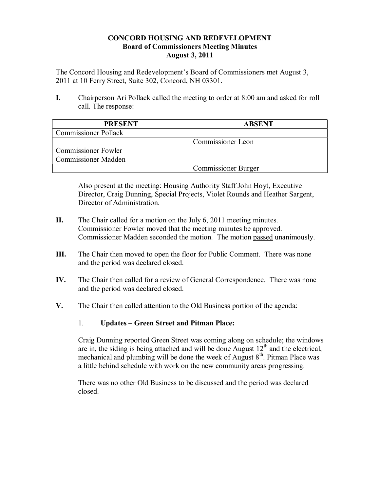#### **CONCORD HOUSING AND REDEVELOPMENT Board of Commissioners Meeting Minutes August 3, 2011**

The Concord Housing and Redevelopment's Board of Commissioners met August 3, 2011 at 10 Ferry Street, Suite 302, Concord, NH 03301.

**I.** Chairperson Ari Pollack called the meeting to order at 8:00 am and asked for roll call. The response:

| <b>PRESENT</b>              | <b>ABSENT</b>              |
|-----------------------------|----------------------------|
| <b>Commissioner Pollack</b> |                            |
|                             | Commissioner Leon          |
| <b>Commissioner Fowler</b>  |                            |
| <b>Commissioner Madden</b>  |                            |
|                             | <b>Commissioner Burger</b> |

Also present at the meeting: Housing Authority Staff John Hoyt, Executive Director, Craig Dunning, Special Projects, Violet Rounds and Heather Sargent, Director of Administration.

- **II.** The Chair called for a motion on the July 6, 2011 meeting minutes. Commissioner Fowler moved that the meeting minutes be approved. Commissioner Madden seconded the motion. The motion passed unanimously.
- **III.** The Chair then moved to open the floor for Public Comment. There was none and the period was declared closed.
- **IV.** The Chair then called for a review of General Correspondence. There was none and the period was declared closed.
- **V.** The Chair then called attention to the Old Business portion of the agenda:

### 1. **Updates – Green Street and Pitman Place:**

Craig Dunning reported Green Street was coming along on schedule; the windows are in, the siding is being attached and will be done August  $12<sup>th</sup>$  and the electrical, mechanical and plumbing will be done the week of August  $8<sup>th</sup>$ . Pitman Place was a little behind schedule with work on the new community areas progressing.

There was no other Old Business to be discussed and the period was declared closed.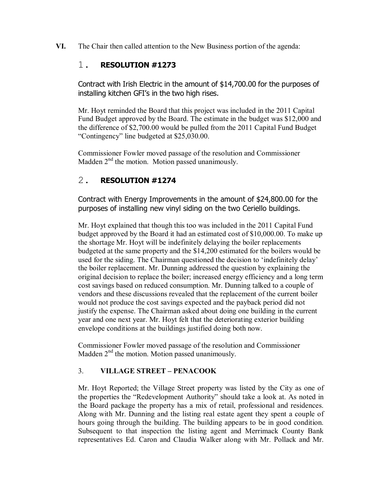**VI.** The Chair then called attention to the New Business portion of the agenda:

## 1. **RESOLUTION #1273**

Contract with Irish Electric in the amount of \$14,700.00 for the purposes of installing kitchen GFI's in the two high rises.

Mr. Hoyt reminded the Board that this project was included in the 2011 Capital Fund Budget approved by the Board. The estimate in the budget was \$12,000 and the difference of \$2,700.00 would be pulled from the 2011 Capital Fund Budget "Contingency" line budgeted at \$25,030.00.

Commissioner Fowler moved passage of the resolution and Commissioner Madden  $2<sup>nd</sup>$  the motion. Motion passed unanimously.

# 2. **RESOLUTION #1274**

Contract with Energy Improvements in the amount of \$24,800.00 for the purposes of installing new vinyl siding on the two Ceriello buildings.

Mr. Hoyt explained that though this too was included in the 2011 Capital Fund budget approved by the Board it had an estimated cost of \$10,000.00. To make up the shortage Mr. Hoyt will be indefinitely delaying the boiler replacements budgeted at the same property and the \$14,200 estimated for the boilers would be used for the siding. The Chairman questioned the decision to 'indefinitely delay' the boiler replacement. Mr. Dunning addressed the question by explaining the original decision to replace the boiler; increased energy efficiency and a long term cost savings based on reduced consumption. Mr. Dunning talked to a couple of vendors and these discussions revealed that the replacement of the current boiler would not produce the cost savings expected and the payback period did not justify the expense. The Chairman asked about doing one building in the current year and one next year. Mr. Hoyt felt that the deteriorating exterior building envelope conditions at the buildings justified doing both now.

Commissioner Fowler moved passage of the resolution and Commissioner Madden  $2<sup>nd</sup>$  the motion. Motion passed unanimously.

### 3. **VILLAGE STREET – PENACOOK**

Mr. Hoyt Reported; the Village Street property was listed by the City as one of the properties the "Redevelopment Authority" should take a look at. As noted in the Board package the property has a mix of retail, professional and residences. Along with Mr. Dunning and the listing real estate agent they spent a couple of hours going through the building. The building appears to be in good condition. Subsequent to that inspection the listing agent and Merrimack County Bank representatives Ed. Caron and Claudia Walker along with Mr. Pollack and Mr.